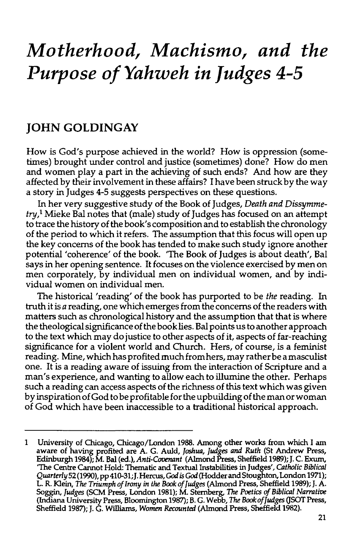# *Motherhood, Machismo, and the Purpose of Yahweh in Judges 4-5*

## **JOHN GOLDINGAY**

How is God's purpose achieved in the world? How is oppression (sometimes) brought under control and justice (sometimes) done? How do men and women play a part in the achieving of such ends? And how are they affected by their involvement in these affairs? I have been struck by the way a story in Judges 4-5 suggests perspectives on these questions.

In her very suggestive study of the Book of Judges, *Death and Dissymmetry,* <sup>1</sup>Mieke Bal notes that (male) study of Judges has focused on an attempt to trace the history of the book's composition and to establish the chronology of the period to which it refers. The assumption that this focus will open up the key concerns of the book has tended to make such study ignore another potential 'coherence' of the book. 'The Book of Judges is about death', Bal says in her opening sentence. It focuses on the violence exercised by men on men corporately, by individual men on individual women, and by individual women on individual men.

The historical 'reading' of the book has purported to be *the* reading. In truth it is *a* reading, one which emerges from the concerns of the readers with matters such as chronological history and the assumption that that is where the theological significance of the book lies. Bal points us to another approach to the text which may do justice to other aspects of it, aspects of far-reaching significance for a violent world and Church. Hers, of course, is a feminist reading. Mine, which has profited much from hers, may rather be a masculist one. It is a reading aware of issuing from the interaction of Scripture and a man's experience, and wanting to allow each to illumine the other. Perhaps such a reading can access aspects of the richness of this text which was given by inspiration of God to be profitable for the up building of the man or woman of God which have been inaccessible to a traditional historical approach.

<sup>1</sup> University of Chicago, Chicago/London 1988. Among other works from which I am aware of having profited are A. G. Auld, *Joshua, Judges and Ruth* (St Andrew Press, Edinburgh 1984); M. Bal (ed.), *Anti-Cauenant* (Almond Press, Sheffield 1989); J. C. Exum, 'The Centre Cannot Hold: Thematic and Textual Instabilities in Judges', *Catholic Biblical*  Quarterly 52 (1990), pp 410-31; J. Hercus, God is God (Hodder and Stoughton, London 1971); L. R. Klein, *The Triumph of Irony* in *the Book of Judges* (Almond Press, Sheffield 1989);J. A. Soggin, *Judges* (SCM Press, London 1981); M. Sternberg, *The Poetics* of *Biblical Narrative*  (Indiana University Press, Bloomington 1987); B. G. Webb, *The Book of Judges* (JSOT Press, Sheffield 1987); J. G. Williams, *Women Recounted* (Almond Press, Sheffield 1982).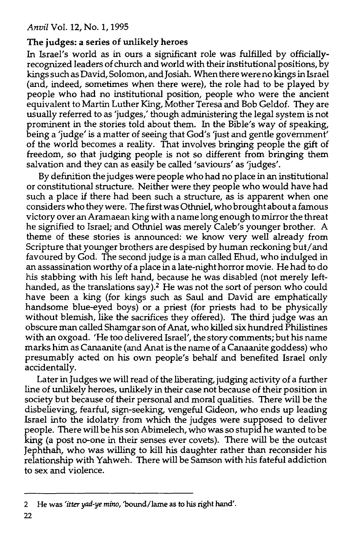## The judges: a series of unlikely heroes

In Israel's world as in ours a significant role was fulfilled by officiallyrecognized leaders of church and world with their institutional positions, by kings such as David, Solomon, and Josiah. When there were no kings in Israel (and, indeed, sometimes when there were), the role had to be played by people who had no institutional position, people who were the ancient equivalent to Martin Luther King, Mother Teresa and Bob Geldof. They are usually referred to as 'judges,' though administering the legal system is not prominent in the stories told about them. In the Bible's way of speaking, being a 'judge' is a matter of seeing that God's 'just and gentle government' of the world becomes a reality. That involves bringing people the gift of freedom, so that judging people is not so different from bringing them salvation and they can as easily be called 'saviours' as 'judges'.

By definition the judges were people who had no place in an institutional or constitutional structure. Neither were they people who would have had such a place if there had been such a structure, as is apparent when one considers who they were. The first was Othniel, who brought about a famous victory over an Aramaean king with a name long enough to mirror the threat he signified to Israel; and Othniel was merely Caleb's younger brother. A theme of these stories is announced: we know very well already from Scripture that younger brothers are despised by human reckoning but/ and favoured by God. The second judge is a man called Ehud, who indulged in an assassination worthy of a place in a late-night horror movie. He had to do his stabbing with his left hand, because he was disabled (not merely lefthanded, as the translations say).<sup>2</sup> He was not the sort of person who could have been a king (for kings such as Saul and David are emphatically handsome blue-eyed boys) or a priest (for priests had to be physically without blemish, like the sacrifices they offered). The third judge was an obscure man called Shamgar son of Anat, who killed six hundred Philistines with an oxgoad. 'He too delivered Israel', the story comments; but his name marks him as Canaanite (and Anat is the name of a Canaanite goddess) who presumably acted on his own people's behalf and benefited Israel only accidentally.

Later in Judges we will read of the liberating, judging activity of a further line of unlikely heroes, unlikely in their case not because of their position in society but because of their personal and moral qualities. There will be the disbelieving, fearful, sign-seeking, vengeful Gideon, who ends up leading Israel into the idolatry from which the judges were supposed to deliver people. There will be his son Abimelech, who was so stupid he wanted to be king (a post no-one in their senses ever covets). There will be the outcast Jephthah, who was willing to kill his daughter rather than reconsider his relationship with Yahweh. There will be Samson with his fateful addiction to sex and violence.

<sup>2</sup> He was *'itter yad-ye mino,* 'bound/lame as to his right hand'.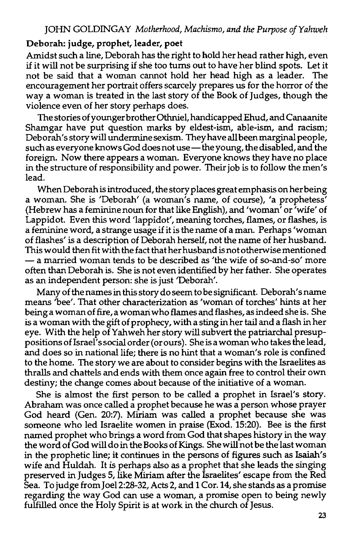#### Deborah: judge, prophet, leader, poet

Amidst such a line, Deborah has the right to hold her head rather high, even if it will not be surprising if she too turns out to have her blind spots. Let it not be said that a woman cannot hold her head high as a leader. The encouragement her portrait offers scarcely prepares us for the horror of the way a woman is treated in the last story of the Book of Judges, though the violence even of her story perhaps does.

The stories of younger brother Othniel, handicapped Ehud, and Canaanite Shamgar have put question marks by eldest-ism, able-ism, and racism; Deborah's story will undermine sexism. They have all been marginal people, such as everyone knows God does not use - the young, the disabled, and the foreign. Now there appears a woman. Everyone knows they have no place in the structure of responsibility and power. Their job is to follow the men's lead.

When Deborah is introduced, the story places great emphasis on her being a woman. She is 'Deborah' (a woman's name, of course), 'a prophetess' (Hebrew has a feminine noun for that like English), and 'woman' or 'wife' of Lappidot. Even this word 'lappidot', meaning torches, flames, or flashes, is a feminine word, a strange usage if it is the name of a man. Perhaps 'woman of flashes' is a description of Deborah herself, not the name of her husband. This would then fit with the fact that her husband is not otherwise mentioned - a married woman tends to be described as 'the wife of so-and-so' more often than Deborah is. She is not even identified by her father. She operates as an independent person: she is just 'Deborah'.

Many of the names in this story do seem to be significant. Deborah' s name means 'bee'. That other characterization as 'woman of torches' hints at her being a woman of fire, a woman: who flames and flashes, as indeed she is. She is a woman with the gift of prophecy, with a sting in her tail and a flash in her eye. With the help of Yahweh her story will subvert the patriarchal presuppositions of Israel's social order (or ours). She is a woman who takes the lead, and does so in national life; there is no hint that a woman's role is confined to the home. The story we are about to consider begins with the Israelites as thralls and chattels and ends with them once again free to control their own destiny; the change comes about because of the initiative of a woman.

She is almost the first person to be called a prophet in Israel's story. Abraham was once called a prophet because he was a person whose prayer God heard (Gen. 20:7). Miriam was called a prophet because she was someone who led Israelite women in praise (Exod. 15:20). Bee is the first named prophet who brings a word from God that shapes history in the way the word of God will do in the Books of Kings. She will not be the last woman in the prophetic line; it continues in the persons of figures such as Isaiah's wife and Huldah. It is perhaps also as a prophet that she leads the singing preserved in Judges 5, like Miriam after the Israelites' escape from the Red Sea. To judge from Joel2:28-32, Acts 2, and 1 Cor. 14, she stands as a promise regarding the way God can use a woman, a promise open to being newly fulfilled once the Holy Spirit is at work in the church of Jesus.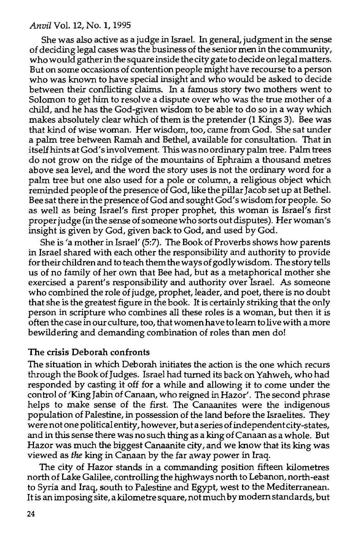She was also active as a judge in Israel. In general, judgment in the sense of deciding legal cases was the business of the senior men in the community, who would gather in the square inside the city gate to decide on legal matters. But on some occasions of contention people might have recourse to a person who was known to have special insight and who would be asked to decide between their conflicting claims. In a famous story two mothers went to Solomon to get him to resolve a dispute over who was the true mother of a child, and he has the God-given wisdom to be able to do so in a way which makes absolutely clear which of them is the pretender (1 Kings 3). Bee was that kind of wise woman. Her wisdom, too, came from God. She sat under a palm tree between Ramah and Bethel, available for consultation. That in itselfhintsatGod'sinvolvement. This was no ordinary palm tree. Palm trees do not grow on the ridge of the mountains of Ephraim a thousand metres above sea level, and the word the story uses is not the ordinary word for a palm tree but one also used for a pole or column, a religious object which reminded people of the presence of God, like the pillar Jacob set up at Bethel. Bee sat there in the presence of God and sought God's wisdom for people. So as well as being Israel's first proper prophet, this woman is Israel's first proper judge (in the sense of someone who sorts out disputes). Her woman's insight is given by God, given back to God, and used by God.

She is 'a mother in Israel' (5:7). The Book of Proverbs shows how parents in Israel shared with each other the responsibility and authority to provide for their children and to teach them the ways of godly wisdom. The story tells us of no family of her own that Bee had, but as a metaphorical mother she exercised a parent's responsibility and authority over Israel. As someone who combined the role of judge, prophet, leader, and poet, there is no doubt that she is the greatest figure in the book. It is certainly striking that the only person in scripture who combines all these roles is a woman, but then it is often thecaseinourculture, too, thatwomenhavetolearn tolivewithamore bewildering and demanding combination of roles than men do!

#### The crisis Deborah confronts

The situation in which Deborah initiates the action is the one which recurs through the Book of Judges. Israel had turned its back on Yahweh, who had responded by casting it off for a while and allowing it to come under the control of 'King Jabin of Canaan, who reigned in Hazor'. The second phrase helps to make sense of the first. The Canaanites were the indigenous population of Palestine, in possession of the land before the Israelites. They were not one political entity, however, but a series of independent city-states, and in this sense there was no such thing as a king of Canaan as a whole. But Hazor was much the biggest Canaanite city, and we know that its king was viewed as *the* king in Canaan by the far away power in Iraq.

The city of Hazor stands in a commanding position fifteen kilometres north of Lake Galilee, controlling the highways north to Lebanon, north-east to Syria and Iraq, south to Palestine and Egypt, west to the Mediterranean. It is an imposing site, a kilometre square, not much by modern standards, but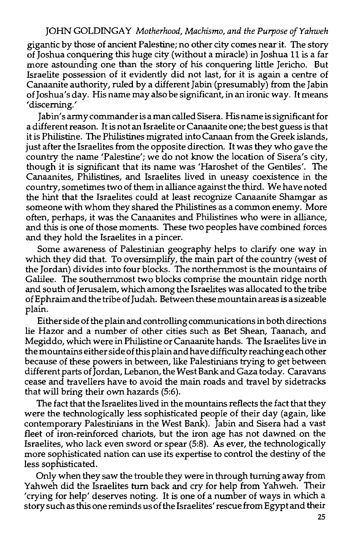gigantic by those of ancient Palestine; no other city comes near it. The story of Joshua conquering this huge city (without a miracle) in Joshua 11 is a far more astounding one than the story of his conquering little Jericho. But Israelite possession of it evidently did not last, for it is again a centre of Canaanite authority, ruled by a different Jabin (presumably) from the Jabin ofJoshua's day. His name may also be significant, in an ironic way. It means 'discerning.'

Jab in's army commander is a man called Sisera. His name is significant for a different reason. It is not an Israelite or Canaanite one; the best guess is that it is Philistine. The Philistines migrated into Canaan from the Greek islands, just after the Israelites from the opposite direction. It was they who gave the country the name 'Palestine'; we do not know the location of Sisera's city, though it is significant that its name was 'Haroshet of the Gentiles'. The Canaanites, Philistines, and Israelites lived in uneasy coexistence in the country, sometimes two of them in alliance against the third. We have noted the hint that the Israelites could at least recognize Canaanite Shamgar as someone with whom they shared the Philistines as a common enemy. More often, perhaps, it was the Canaanites and Philistines who were in alliance, and this is one of those moments. These two peoples have combined forces and they hold the Israelites in a pincer.

Some awareness of Palestinian geography helps to clarify one way in which they did that. To oversimplify, the main part of the country (west of the Jordan) divides into four blocks. The northernmost is the mountains of Galilee. The southemmost two blocks comprise the mountain ridge north and south of Jerusalem, which among the Israelites was allocated to the tribe ofEphraim and the tribe ofJudah. Between these mountain areas is a sizeable plain.

Either side of the plain and controlling communications in both directions lie Hazor and a number of other cities such as Bet Shean, Taanach, and Megiddo, which were in Philistine or Canaanite hands. The Israelites live in the mountains either side of this plain and have difficulty reaching each other because of these powers in between, like Palestinians trying to get between different parts of Jordan, Lebanon, the West Bank and Gaza today. Caravans cease and travellers have to avoid the main roads and travel by sidetracks that will bring their own hazards (5:6).

The fact that the Israelites lived in the mountains reflects the fact that they were the technologically less sophisticated people of their day (again, like contemporary Palestinians in the West Bank). Jabin and Sisera had a vast fleet of iron-reinforced chariots, but the iron age has not dawned on the Israelites, who lack even sword or spear (5:8). As ever, the technologically more sophisticated nation can use its expertise to control the destiny of the less sophisticated.

Only when they saw the trouble they were in through turning away from Yahweh did the Israelites turn back and cry for help from Yahweh. Their 'crying for help' deserves noting. It is one of a number of ways in which a story such as this one reminds us of the Israelites' rescue from Egypt and their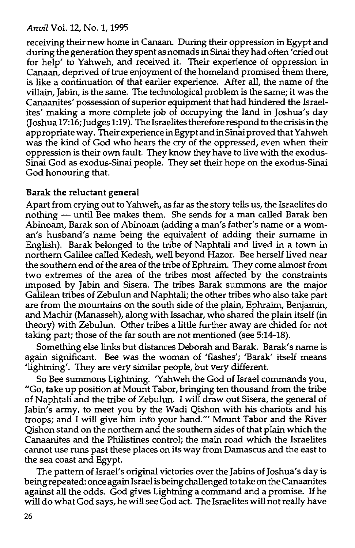receiving their new home in Canaan. During their oppression in Egypt and during the generation they spent as nomads in Sinai they had often 'cried out for help' to Yahweh, and received it. Their experience of oppression in Canaan, deprived of true enjoyment of the homeland promised them there, is like a continuation of that earlier experience. After all, the name of the villain, Jabin, is the same. The technological problem is the same; it was the Canaanites' possession of superior equipment that had hindered the Israelites' making a more complete job of occupying the land in Joshua's day (Joshua 17:16; Judges 1:19). The Israelites therefore respond to the crisis in the appropriate way. Their experience in Egypt and in Sinai proved that Y ahweh was the kind of God who hears the cry of the oppressed, even when their oppression is their own fault. They know they have to live with the exodus-Sinai God as exodus-Sinai people. They set their hope on the exodus-Sinai God honouring that.

## **Barak the reluctant general**

Apart from crying out to Yahweh, as far as the story tells us, the Israelites do nothing - until Bee makes them. She sends for a man called Barak ben Abinoam, Barak son of Abinoam (adding a man's father's name or a woman's husband's name being the equivalent of adding their surname in English). Barak belonged to the tribe of Naphtali and lived in a town in northern Galilee called Kedesh, well beyond Hazor. Bee herself lived near the southern end of the area of the tribe of Ephraim. They come almost from two extremes of the area of the tribes most affected by the constraints imposed by Jabin and Sisera. The tribes Barak summons are the major Galilean tribes of Zebulun and Naphtali; the other tribes who also take part are from the mountains on the south side of the plain, Ephraim, Benjamin, and Machir (Manasseh), along with lssachar, who shared the plain itself (in theory) with Zebulun. Other tribes a little further away are chided for not taking part; those of the far south are not mentioned (see 5:14-18).

Something else links but distances Deborah and Barak. Barak's name is again significant. Bee was the woman of 'flashes'; 'Barak' itself means 'lightning'. They are very similar people, but very different.

So Bee summons Lightning. 'Yahweh the God of Israel commands you, "Go, take up position at Mount Tabor, bringing ten thousand from the tribe of Naphtali and the tribe of Zebulun. I will draw out Sisera, the general of Jabin's army, to meet you by the Wadi Qishon with his chariots and his troops; and I will give him into your hand."' Mount Tabor and the River Qishon stand on the northern and the southern sides of that plain which the Canaanites and the Philistines control; the main road which the Israelites cannot use runs past these places on its way from Damascus and the east to the sea coast and Egypt.

The pattern of Israel's original victories over the Jabins of Joshua's day is being repeated: once again Israelis being challenged to take on the Canaanites against all the odds. God gives Lightning a command and a promise. If he will do what God says, he will see God act. The Israelites will not really have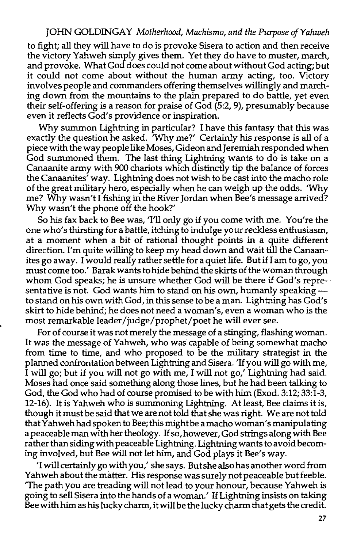to fight; all they will have to do is provoke Sisera to action and then receive the victory Yahweh simply gives them. Yet they do have to muster, march, and provoke. What God does could not come about without God acting; but it could not come about without the human army acting, too. Victory involves people and commanders offering themselves willingly and marching down from the mountains to the plain prepared to do battle, yet even their self-offering is a reason for praise of God (5:2, 9), presumably because even it reflects God's providence or inspiration.

Why summon Lightning in particular? I have this fantasy that this was exactly the question he asked. 'Why me?' Certainly his response is all of a piece with the way people like Moses, Gideon and Jeremiah responded when God summoned them. The last thing Lightning wants to do is take on a Canaanite army with 900 chariots which distinctly tip the balance of forces the Canaanites' way. Lightning does not wish to be cast into the macho role of the great military hero, especially when he can weigh up the odds. 'Why me? Why wasn't I fishing in the River Jordan when Bee's message arrived? Why wasn't the phone off the hook?'

So his fax back to Bee was, 'I'll only go if you come with me. You're the one who's thirsting for a battle, itching to indulge your reckless enthusiasm, at a moment when a bit of rational thought points in a quite different direction. I'm quite willing to keep my head down and wait till the Canaanites go away. I would really rather settle for a quiet life. But if I am to go, you must come too.' Barak wants to hide behind the skirts of the woman through whom God speaks; he is unsure whether God will be there if God's representative is not. God wants him to stand on his own, humanly speaking to stand on his own with God, in this sense to be a man. Lightning has God's skirt to hide behind; he does not need a woman's, even a woman who is the most remarkable leader/judge/prophet/poet he will ever see.

For of course it was not merely the message of a stinging, flashing woman. It was the message of Yahweh, who was capable of being somewhat macho from time to time, and who proposed to be the military strategist in the planned confrontation between Lightning and Sisera. 'If you will go with me, I will go; but if you will not go with me, I will not go,' Lightning had said. Moses had once said something along those lines, but he had been talking to God, the God who had of course promised to be with him (Exod. 3:12; 33:1-3, 12-16). It is Yahweh who is summoning Lightning. At least, Bee claims it is, though it must be said that we are not told that she was right. We are not told that Yahweh had spoken to Bee; this might be a macho woman's manipulating a peaceable man with her theology. If so, however, God strings along with Bee rather than siding with peaceable Lightning. Lightning wants to avoid becoming involved, but Bee will not let him, and God plays it Bee's way.

'I will certainly go with you,' she says. But she also has another word from Yahweh about the matter. His response was surely not peaceable but feeble. 'The path you are treading will not lead to your honour, because Yahweh is going to sell Sisera into the hands of a woman.' If Lightning insists on taking Bee with him as his lucky charm, it will be the lucky charm that gets the credit.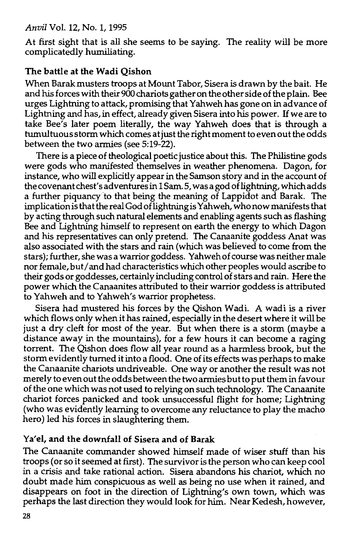At first sight that is all she seems to be saying. The reality will be more complicatedly humiliating.

## The battle at the Wadi Qishon

When Barak musters troops at Mount Tabor, Sisera is drawn by the bait. He and his forces with their 900 chariots gather on the other side of the plain. Bee urges Lightning to attack, promising that Y ahweh has gone on in advance of Lightning and has, in effect, already given Sisera into his power. If we are to take Bee's later poem literally, the way Yahweh does that is through a tumultuous storm which comes at just the right moment to even out the odds between the two armies (see 5:19-22).

There is a piece of theological poetic justice about this. The Philistine gods were gods who manifested themselves in weather phenomena. Dagon, for instance, who will explicitly appear in the Samson story and in the account of the covenant chest's adventures in 1 Sam. 5, was a god of lightning, which adds a further piquancy to that being the meaning of Lappidot and Barak. The implication is that the real God of lightning is Yahweh, who now manifests that by acting through such natural elements and enabling agents such as flashing Bee and Lightning himself to represent on earth the energy to which Dagon and his representatives can only pretend. The Canaanite goddess Anat was also associated with the stars and rain (which was believed to come from the stars); further, she was a warrior goddess. Y ahweh of course was neither male nor female, but/ and had characteristics which other peoples would ascribe to their gods or goddesses, certainly including control of stars and rain. Here the power which the Canaanites attributed to their warrior goddess is attributed to Yahweh and to Yahweh's warrior prophetess.

Sisera had mustered his forces by the Qishon Wadi. A wadi is a river which flows only when it has rained, especially in the desert where it will be just a dry cleft for most of the year. But when there is a storm (maybe a distance away in the mountains), for a few hours it can become a raging torrent. The Qishon does flow all year round as a harmless brook, but the storm evidently turned it into a flood. One of its effects was perhaps to make the Canaanite chariots undriveable. One way or another the result was not merely to even out the odds between the two armies but to put them in favour of the one which was not used to relying on such technology. The Canaanite chariot forces panicked and took unsuccessful flight for home; Lightning (who was evidently learning to overcome any reluctance to play the macho hero) led his forces in slaughtering them.

## Ya'el, and the downfall of Sisera and of Barak

The Canaanite commander showed himself made of wiser stuff than his troops (or so it seemed at first). The survivor is the person who can keep cool in a crisis and take rational action. Sisera abandons his chariot, which no doubt made him conspicuous as well as being no use when it rained, and disappears on foot in the direction of Lightning's own town, which was perhaps the last direction they would look for him. Near Kedesh, however,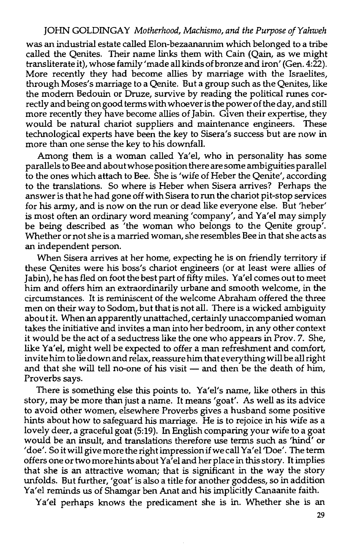was an industrial estate called Elon-bezaanannim which belonged to a tribe called the Qenites. Their name links them with Cain (Qain, as we might transliterate it), whose family 'made all kinds of bronze and iron' (Gen. 4:22). More recently they had become allies by marriage with the Israelites, through Moses's marriage to a Qenite. But a group such as the Qenites, like the modem Bedouin or Druze, survive by reading the political runes correctly and being on good terms with whoever is the power of the day, and still more recently they have become allies of Jabin. Given their expertise, they would be natural chariot suppliers and maintenance engineers. These technological experts have been the key to Sisera's success but are now in more than one sense the key to his downfall.

Among them is a woman called Ya'el, who in personality has some parallels to Bee and about whose position there are some ambiguities parallel to the ones which attach to Bee. She is 'wife of Heber the Qenite', according to the translations. So where is Heber when Sisera arrives? Perhaps the answer is that he had gone off with Sisera to run the chariot pit-stop services for his army, and is now on the run or dead like everyone else. But 'heber' is most often an ordinary word meaning 'company', and Ya'el may simply be being described as 'the woman who belongs to the Qenite group'. Whether or not she is a married woman, she resembles Bee in that she acts as an independent person.

When Sisera arrives at her home, expecting he is on friendly territory if these Qenites were his boss's chariot engineers (or at least were allies of Jabin), he has fled on foot the best part of fifty miles. Ya'el comes out to meet him and offers him an extraordinarily urbane and smooth welcome, in the circumstances. It is reminiscent of the welcome Abraham offered the three men on their way to Sodom, but that is not all. There is a wicked ambiguity about it. When an apparently unattached, certainly unaccompanied woman takes the initiative and invites a man into her bedroom, in any other context it would be the act of a seductress like the one who appears in Prov. 7. She, like Ya'el, might well be expected to offer a man refreshment and comfort, invite him to lie down and relax, reassure him that everything will be all right and that she will tell no-one of his visit  $-$  and then be the death of him, Proverbs says.

There is something else this points to. Ya'el's name, like others in this story, may be more than just a name. It means 'goat'. As well as its advice to avoid other women, elsewhere Proverbs gives a husband some positive hints about how to safeguard his marriage. He is to rejoice in his wife as a lovely deer, a graceful goat (5:19). In English comparing your wife to a goat would be an insult, and translations therefore use terms such as 'hind' or 'doe'. So it will give more the right impression if we call Ya'el 'Doe'. The term offers one or two more hints about Ya'el and her place in this story. It implies that she is an attractive woman; that is significant in the way the story unfolds. But further, 'goat' is also a title for another goddess, so in addition Ya'el reminds us of Shamgar ben Anat and his implicitly Canaanite faith.

Ya'el perhaps knows the predicament she is in. Whether she is an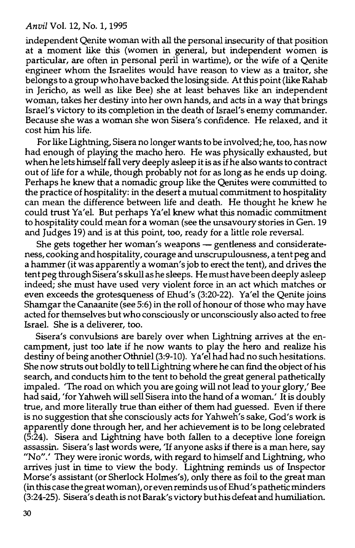independent Qenite woman with all the personal insecurity of that position at a moment like this (women in general, but independent women is particular, are often in personal peril in wartime), or the wife of a Qenite engineer whom the Israelites would have reason to view as a traitor, she belongs to a group who have backed the losing side. At this point (like Rahab in Jericho, as well as like Bee) she at least behaves like an independent woman, takes her destiny into her own hands, and acts in a way that brings Israel's victory to its completion in the death of Israel's enemy commander. Because she was a woman she won Sisera's confidence. He relaxed, and it cost him his life.

For like Lightning, Sisera no longer wants to be involved; he, too, has now had enough of playing the macho hero. He was physically exhausted, but when he lets himself fall very deeply asleep it is as if he also wants to contract out of life for a while, though probably not for as long as he ends up doing. Perhaps he knew that a nomadic group like the Qenites were committed to the practice of hospitality: in the desert a mutual commitment to hospitality can mean the difference between life and death. He thought he knew he could trust Ya'el. But perhaps Ya'el knew what this nomadic commitment to hospitality could mean for a woman (see the unsavoury stories in Gen. 19 and Judges 19) and is at this point, too, ready for a little role reversal.

She gets together her woman's weapons - gentleness and considerateness, cooking and hospitality, courage and unscrupulousness, a tent peg and a hammer (it was apparently a woman's job to erect the tent), and drives the tent peg through Sisera's skull as he sleeps. He must have been deeply asleep indeed; she must have used very violent force in an act which matches or even exceeds the grotesqueness of Ehud's (3:20-22). Ya'el the Qenite joins Shamgar the Canaanite (see 5:6) in the roll of honour of those who may have acted for themselves but who consciously or unconsciously also acted to free Israel. She is a deliverer, too.

Sisera's convulsions are barely over when Lightning arrives at the encampment, just too late if he now wants to play the hero and realize his destiny of being another Othniel (3:9-10). Ya' el had had no such hesitations. She now struts out boldly to tell Lightning where he can find the object of his search, and conducts him to the tent to behold the great general pathetically impaled. 'The road on which you are going will not lead to your glory,' Bee had said, 'for Yahweh will sell Sisera into the hand of a woman.' It is doubly true, and more literally true than either of them had guessed. Even if there is no suggestion that she consciously acts for Yahweh's sake, God's work is apparently done through her, and her achievement is to be long celebrated (5:24). Sisera and Lightning have both fallen to a deceptive lone foreign assassin. Sisera's last words were, 'If anyone asks if there is a man here, say "No".' They were ironic words, with regard to himself and Lightning, who arrives just in time to view the body. Lightning reminds us of Inspector Morse's assistant (or Sherlock Holmes's), only there as foil to the great man (in this case the great woman), or even reminds us of Ehud' s pathetic minders (3:24-25). Sisera's death is not Barak's victory but his defeat and humiliation.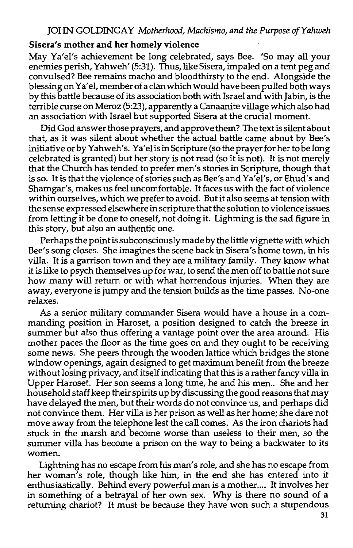#### Sisera's mother and her homely violence

May Ya'el's achievement be long celebrated, says Bee. 'So may all your enemies perish, Yahweh' (5:31). Thus, like Sisera, impaled on a tent peg and convulsed? Bee remains macho and bloodthirsty to the end. Alongside the blessing on Ya'el, member of a clan which would have been pulled both ways by this battle because of its association both with Israel and with Jabin, is the terrible curse on Meroz (5:23), apparently a Canaanite village which also had an association with Israel but supported Sisera at the crucial moment.

Did God answer those prayers, and approve them? The text is silent about that, as it was silent about whether the actual battle came about by Bee's initiative or by Yahweh's. Ya'el is in Scripture (so the prayer for her to be long celebrated is granted) but her story is not read (so it is not). It is not merely that the Church has tended to prefer men's stories in Scripture, though that is so. It is that the violence of stories such as Bee's and Ya'el's, or Ehud's and Shamgar's, makes us feel uncomfortable. It faces us with the fact of violence within ourselves, which we prefer to avoid. But it also seems at tension with the sense expressed elsewhere in scripture that the solution to violence issues from letting it be done to oneself, not doing it. Lightning is the sad figure in this story, but also an authentic one.

Perhaps the point is subconsciously made by the little vignette with which Bee's song closes. She imagines the scene back in Sisera's home town, in his villa. It is a garrison town and they are a military family. They know what it is like to psych themselves up for war, to send the men off to battle not sure how many will return or with what horrendous injuries. When they are away, everyone is jumpy and the tension builds as the time passes. No-one relaxes.

As a senior military commander Sisera would have a house in a commanding position in Haroset, a position designed to catch the breeze in summer but also thus offering a vantage point over the area around. His mother paces the floor as the time goes on and they ought to be receiving some news. She peers through the wooden lattice which bridges the stone window openings, again designed to get maximum benefit from the breeze without losing privacy, and itself indicating that this is a rather fancy villa in Upper Haroset. Her son seems a long time, he and his men.. She and her household staff keep their spirits up by discussing the good reasons that may have delayed the men, but their words do not convince us, and perhaps did not convince them. Her villa is her prison as well as her home; she dare not move away from the telephone lest the call comes. As the iron chariots had stuck in the marsh and become worse than useless to their men, so the summer villa has become a prison on the way to being a backwater to its women.

Lightning has no escape from his man's role, and she has no escape from her woman's role, though like him, in the end she has entered into it enthusiastically. Behind every powerful man is a mother.... It involves her in something of a betrayal of her own sex. Why is there no sound of a returning chariot? It must be because they have won such a stupendous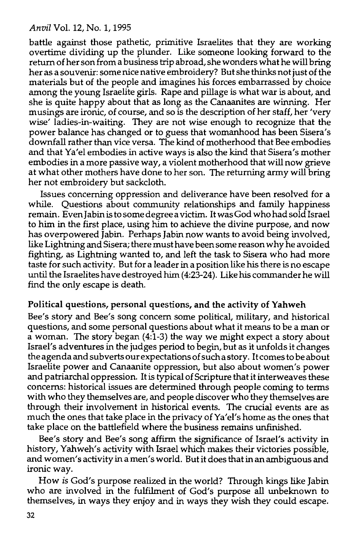battle against those pathetic, primitive Israelites that they are working overtime dividing up the plunder. Like someone looking forward to the return of her son from a business trip abroad, she wonders what he will bring her as a souvenir: some nice native embroidery? But she thinks not just of the materials but of the people and imagines his forces embarrassed by choice among the young Israelite girls. Rape and pillage is what war is about, and she is quite happy about that as long as the Canaanites are winning. Her musings are ironic, of course, and so is the description of her staff, her 'very wise' ladies-in-waiting. They are not wise enough to recognize that the power balance has changed or to guess that womanhood has been Sisera's downfall rather than vice versa. The kind of motherhood that Bee embodies and that Ya'el embodies in active ways is also the kind that Sisera's mother embodies in a more passive way, a violent motherhood that will now grieve at what other mothers have done to her son. The returning army will bring her not embroidery but sackcloth.

Issues concerning oppression and deliverance have been resolved for a while. Questions about community relationships and family happiness remain. Even Jabin is to some degree a victim. It was God who had sold Israel to him in the first place, using him to achieve the divine purpose, and now has overpowered Jabin. Perhaps Jabin now wants to avoid being involved, like Lightning and Sisera; there must have been some reason why he avoided fighting, as Lightning wanted to, and left the task to Sisera who had more taste for such activity. But for a leader in a position like his there is no escape until the Israelites have destroyed him (4:23-24). Like his commander he will find the only escape is death.

## Political questions, personal questions, and the activity of Yahweh

Bee's story and Bee's song concern some political, military, and historical questions, and some personal questions about what it means to be a man or a woman. The story began (4:1-3) the way we might expect a story about Israel's adventures in the judges period to begin, but as it unfolds it changes the agenda and subverts our expectations of such a story. It comes to be about Israelite power and Canaanite oppression, but also about women's power and patriarchal oppression. It is typical of Scripture that it interweaves these concerns: historical issues are determined through people coming to terms with who they themselves are, and people discover who they themselves are through their involvement in historical events. The crucial events are as much the ones that take place in the privacy of Ya'el's home as the ones that take place on the battlefield where the business remains unfinished.

Bee's story and Bee's song affirm the significance of Israel's activity in history, Yahweh's activity with Israel which makes their victories possible, and women's activity in a men's world. But it does that in an ambiguous and ironic way.

How is God's purpose realized in the world? Through kings like Jabin who are involved in the fulfilment of God's purpose all unbeknown to themselves, in ways they enjoy and in ways they wish they could escape.